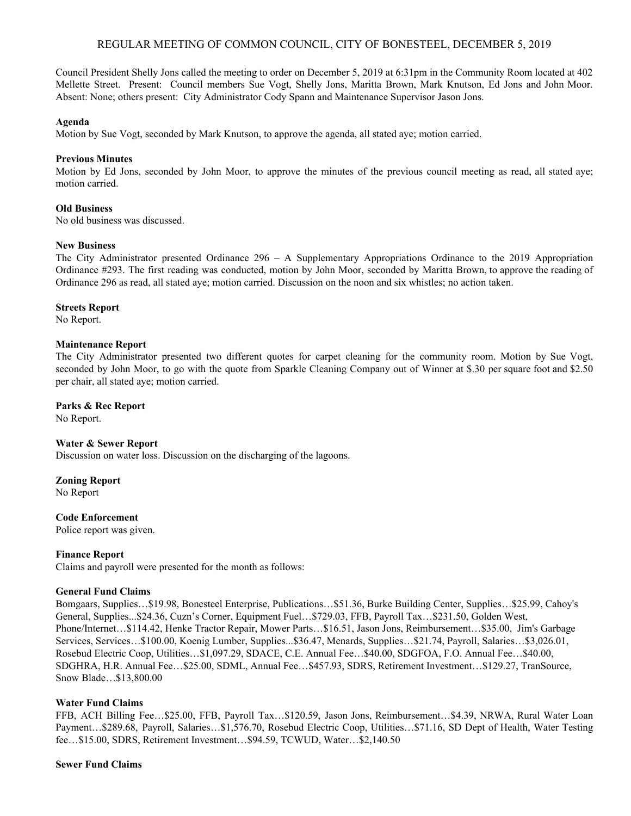# REGULAR MEETING OF COMMON COUNCIL, CITY OF BONESTEEL, DECEMBER 5, 2019

Council President Shelly Jons called the meeting to order on December 5, 2019 at 6:31pm in the Community Room located at 402 Mellette Street. Present: Council members Sue Vogt, Shelly Jons, Maritta Brown, Mark Knutson, Ed Jons and John Moor. Absent: None; others present: City Administrator Cody Spann and Maintenance Supervisor Jason Jons.

#### **Agenda**

Motion by Sue Vogt, seconded by Mark Knutson, to approve the agenda, all stated aye; motion carried.

# **Previous Minutes**

Motion by Ed Jons, seconded by John Moor, to approve the minutes of the previous council meeting as read, all stated aye; motion carried.

## **Old Business**

No old business was discussed.

## **New Business**

The City Administrator presented Ordinance 296 – A Supplementary Appropriations Ordinance to the 2019 Appropriation Ordinance #293. The first reading was conducted, motion by John Moor, seconded by Maritta Brown, to approve the reading of Ordinance 296 as read, all stated aye; motion carried. Discussion on the noon and six whistles; no action taken.

## **Streets Report**

No Report.

## **Maintenance Report**

The City Administrator presented two different quotes for carpet cleaning for the community room. Motion by Sue Vogt, seconded by John Moor, to go with the quote from Sparkle Cleaning Company out of Winner at \$.30 per square foot and \$2.50 per chair, all stated aye; motion carried.

## **Parks & Rec Report**

No Report.

#### **Water & Sewer Report**

Discussion on water loss. Discussion on the discharging of the lagoons.

# **Zoning Report**

No Report

# **Code Enforcement**

Police report was given.

# **Finance Report**

Claims and payroll were presented for the month as follows:

#### **General Fund Claims**

Bomgaars, Supplies…\$19.98, Bonesteel Enterprise, Publications…\$51.36, Burke Building Center, Supplies…\$25.99, Cahoy's General, Supplies...\$24.36, Cuzn's Corner, Equipment Fuel…\$729.03, FFB, Payroll Tax…\$231.50, Golden West, Phone/Internet…\$114.42, Henke Tractor Repair, Mower Parts…\$16.51, Jason Jons, Reimbursement…\$35.00, Jim's Garbage Services, Services…\$100.00, Koenig Lumber, Supplies...\$36.47, Menards, Supplies…\$21.74, Payroll, Salaries…\$3,026.01, Rosebud Electric Coop, Utilities…\$1,097.29, SDACE, C.E. Annual Fee…\$40.00, SDGFOA, F.O. Annual Fee…\$40.00, SDGHRA, H.R. Annual Fee…\$25.00, SDML, Annual Fee…\$457.93, SDRS, Retirement Investment…\$129.27, TranSource, Snow Blade…\$13,800.00

# **Water Fund Claims**

FFB, ACH Billing Fee…\$25.00, FFB, Payroll Tax…\$120.59, Jason Jons, Reimbursement…\$4.39, NRWA, Rural Water Loan Payment…\$289.68, Payroll, Salaries…\$1,576.70, Rosebud Electric Coop, Utilities…\$71.16, SD Dept of Health, Water Testing fee…\$15.00, SDRS, Retirement Investment…\$94.59, TCWUD, Water…\$2,140.50

# **Sewer Fund Claims**